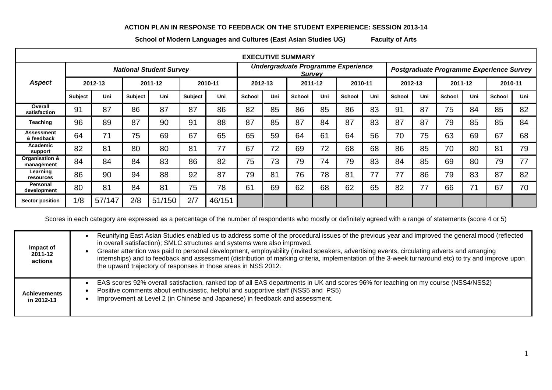## **ACTION PLAN IN RESPONSE TO FEEDBACK ON THE STUDENT EXPERIENCE: SESSION 2013-14**

**School of Modern Languages and Cultures (East Asian Studies UG) Faculty of Arts**

| <b>EXECUTIVE SUMMARY</b>     |                                |        |                |        |         |         |                                                     |         |               |         |               |                                          |        |         |               |         |        |         |  |
|------------------------------|--------------------------------|--------|----------------|--------|---------|---------|-----------------------------------------------------|---------|---------------|---------|---------------|------------------------------------------|--------|---------|---------------|---------|--------|---------|--|
|                              | <b>National Student Survey</b> |        |                |        |         |         | Undergraduate Programme Experience<br><b>Survev</b> |         |               |         |               | Postgraduate Programme Experience Survey |        |         |               |         |        |         |  |
| <b>Aspect</b>                | 2012-13                        |        | 2011-12        |        |         | 2010-11 |                                                     | 2012-13 |               | 2011-12 |               | 2010-11                                  |        | 2012-13 |               | 2011-12 |        | 2010-11 |  |
|                              | <b>Subject</b>                 | Uni    | <b>Subject</b> | Uni    | Subject | Uni     | <b>School</b>                                       | Uni     | <b>School</b> | Uni     | <b>School</b> | Uni                                      | School | Uni     | <b>School</b> | Uni     | School | Uni     |  |
| Overall<br>satisfaction      | 91                             | 87     | 86             | 87     | 87      | 86      | 82                                                  | 85      | 86            | 85      | 86            | 83                                       | 91     | 87      | 75            | 84      | 85     | 82      |  |
| Teaching                     | 96                             | 89     | 87             | 90     | 91      | 88      | 87                                                  | 85      | 87            | 84      | 87            | 83                                       | 87     | 87      | 79            | 85      | 85     | 84      |  |
| Assessment<br>& feedback     | 64                             | 71     | 75             | 69     | 67      | 65      | 65                                                  | 59      | 64            | 61      | 64            | 56                                       | 70     | 75      | 63            | 69      | 67     | 68      |  |
| Academic<br>support          | 82                             | 81     | 80             | 80     | 81      | 77      | 67                                                  | 72      | 69            | 72      | 68            | 68                                       | 86     | 85      | 70            | 80      | 81     | 79      |  |
| Organisation &<br>management | 84                             | 84     | 84             | 83     | 86      | 82      | 75                                                  | 73      | 79            | 74      | 79            | 83                                       | 84     | 85      | 69            | 80      | 79     | 77      |  |
| Learning<br>resources        | 86                             | 90     | 94             | 88     | 92      | 87      | 79                                                  | 81      | 76            | 78      | 81            | 77                                       | 77     | 86      | 79            | 83      | 87     | 82      |  |
| Personal<br>development      | 80                             | 81     | 84             | 81     | 75      | 78      | 61                                                  | 69      | 62            | 68      | 62            | 65                                       | 82     | 77      | 66            | 71      | 67     | 70      |  |
| Sector position              | 1/8                            | 57/147 | 2/8            | 51/150 | 2/7     | 46/151  |                                                     |         |               |         |               |                                          |        |         |               |         |        |         |  |

Scores in each category are expressed as a percentage of the number of respondents who mostly or definitely agreed with a range of statements (score 4 or 5)

| Impact of<br>2011-12<br>actions   | Reunifying East Asian Studies enabled us to address some of the procedural issues of the previous year and improved the general mood (reflected<br>in overall satisfaction); SMLC structures and systems were also improved.<br>Greater attention was paid to personal development, employability (invited speakers, advertising events, circulating adverts and arranging<br>internships) and to feedback and assessment (distribution of marking criteria, implementation of the 3-week turnaround etc) to try and improve upon<br>the upward trajectory of responses in those areas in NSS 2012. |
|-----------------------------------|-----------------------------------------------------------------------------------------------------------------------------------------------------------------------------------------------------------------------------------------------------------------------------------------------------------------------------------------------------------------------------------------------------------------------------------------------------------------------------------------------------------------------------------------------------------------------------------------------------|
| <b>Achievements</b><br>in 2012-13 | EAS scores 92% overall satisfaction, ranked top of all EAS departments in UK and scores 96% for teaching on my course (NSS4/NSS2)<br>Positive comments about enthusiastic, helpful and supportive staff (NSS5 and PS5)<br>Improvement at Level 2 (in Chinese and Japanese) in feedback and assessment.                                                                                                                                                                                                                                                                                              |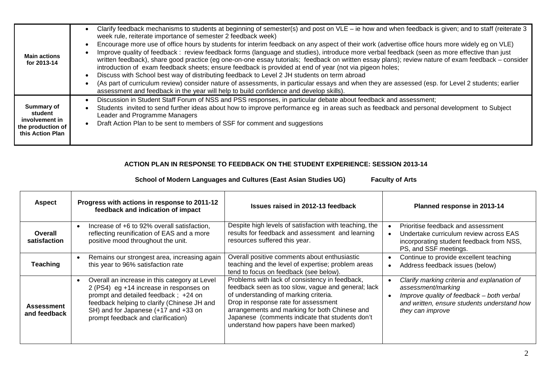| <b>Main actions</b><br>for 2013-14                                               | Clarify feedback mechanisms to students at beginning of semester(s) and post on VLE – ie how and when feedback is given; and to staff (reiterate 3<br>week rule, reiterate importance of semester 2 feedback week)<br>Encourage more use of office hours by students for interim feedback on any aspect of their work (advertise office hours more widely eg on VLE)<br>Improve quality of feedback: review feedback forms (language and studies), introduce more verbal feedback (seen as more effective than just<br>written feedback), share good practice (eg one-on-one essay tutorials; feedback on written essay plans); review nature of exam feedback – consider<br>introduction of exam feedback sheets; ensure feedback is provided at end of year (not via pigeon holes;<br>Discuss with School best way of distributing feedback to Level 2 JH students on term abroad<br>(As part of curriculum review) consider nature of assessments, in particular essays and when they are assessed (esp. for Level 2 students; earlier<br>assessment and feedback in the year will help to build confidence and develop skills). |
|----------------------------------------------------------------------------------|-------------------------------------------------------------------------------------------------------------------------------------------------------------------------------------------------------------------------------------------------------------------------------------------------------------------------------------------------------------------------------------------------------------------------------------------------------------------------------------------------------------------------------------------------------------------------------------------------------------------------------------------------------------------------------------------------------------------------------------------------------------------------------------------------------------------------------------------------------------------------------------------------------------------------------------------------------------------------------------------------------------------------------------------------------------------------------------------------------------------------------------|
| Summary of<br>student<br>involvement in<br>the production of<br>this Action Plan | Discussion in Student Staff Forum of NSS and PSS responses, in particular debate about feedback and assessment;<br>Students invited to send further ideas about how to improve performance eg in areas such as feedback and personal development to Subject<br>Leader and Programme Managers<br>Draft Action Plan to be sent to members of SSF for comment and suggestions                                                                                                                                                                                                                                                                                                                                                                                                                                                                                                                                                                                                                                                                                                                                                          |

## **ACTION PLAN IN RESPONSE TO FEEDBACK ON THE STUDENT EXPERIENCE: SESSION 2013-14**

**School of Modern Languages and Cultures (East Asian Studies UG) Faculty of Arts**

| <b>Aspect</b>                     | Progress with actions in response to 2011-12<br>feedback and indication of impact                                                                                                                                                                                          | Issues raised in 2012-13 feedback                                                                                                                                                                                                                                                                                                    | Planned response in 2013-14                                                                                                                                                       |  |  |  |
|-----------------------------------|----------------------------------------------------------------------------------------------------------------------------------------------------------------------------------------------------------------------------------------------------------------------------|--------------------------------------------------------------------------------------------------------------------------------------------------------------------------------------------------------------------------------------------------------------------------------------------------------------------------------------|-----------------------------------------------------------------------------------------------------------------------------------------------------------------------------------|--|--|--|
| Overall<br>satisfaction           | Increase of +6 to 92% overall satisfaction,<br>$\bullet$<br>reflecting reunification of EAS and a more<br>positive mood throughout the unit.                                                                                                                               | Despite high levels of satisfaction with teaching, the<br>results for feedback and assessment and learning<br>resources suffered this year.                                                                                                                                                                                          | Prioritise feedback and assessment<br>Undertake curriculum review across EAS<br>incorporating student feedback from NSS,<br>PS, and SSF meetings.                                 |  |  |  |
| Teaching                          | Remains our strongest area, increasing again<br>$\bullet$<br>this year to 96% satisfaction rate                                                                                                                                                                            | Overall positive comments about enthusiastic<br>teaching and the level of expertise; problem areas<br>tend to focus on feedback (see below).                                                                                                                                                                                         | Continue to provide excellent teaching<br>Address feedback issues (below)<br>$\bullet$                                                                                            |  |  |  |
| <b>Assessment</b><br>and feedback | Overall an increase in this category at Level<br>$\bullet$<br>2 (PS4) eg +14 increase in responses on<br>prompt and detailed feedback; +24 on<br>feedback helping to clarify (Chinese JH and<br>SH) and for Japanese (+17 and +33 on<br>prompt feedback and clarification) | Problems with lack of consistency in feedback,<br>feedback seen as too slow, vague and general; lack<br>of understanding of marking criteria.<br>Drop in response rate for assessment<br>arrangements and marking for both Chinese and<br>Japanese (comments indicate that students don't<br>understand how papers have been marked) | Clarify marking criteria and explanation of<br>assessment/marking<br>Improve quality of feedback - both verbal<br>and written, ensure students understand how<br>they can improve |  |  |  |